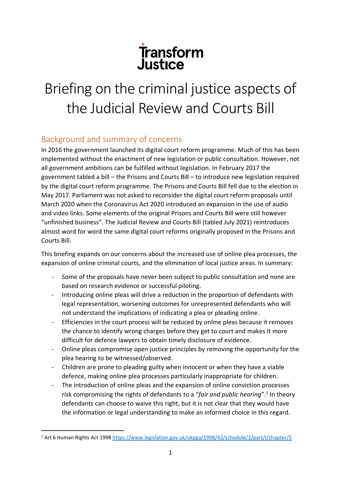# Transform<br>Justice

# Briefing on the criminal justice aspects of the Judicial Review and Courts Bill

# Background and summary of concerns

In 2016 the government launched its digital court reform programme. Much of this has been implemented without the enactment of new legislation or public consultation. However, not all government ambitions can be fulfilled without legislation. In February 2017 the government tabled a bill – the Prisons and Courts Bill – to introduce new legislation required by the digital court reform programme. The Prisons and Courts Bill fell due to the election in May 2017. Parliament was not asked to reconsider the digital court reform proposals until March 2020 when the Coronavirus Act 2020 introduced an expansion in the use of audio and video links. Some elements of the original Prisons and Courts Bill were still however "unfinished business". The Judicial Review and Courts Bill (tabled July 2021) reintroduces almost word for word the same digital court reforms originally proposed in the Prisons and Courts Bill.

This briefing expands on our concerns about the increased use of online plea processes, the expansion of online criminal courts, and the elimination of local justice areas. In summary:

- Some of the proposals have never been subject to public consultation and none are based on research evidence or successful piloting.
- Introducing online pleas will drive a reduction in the proportion of defendants with legal representation, worsening outcomes for unrepresented defendants who will not understand the implications of indicating a plea or pleading online.
- Efficiencies in the court process will be reduced by online pleas because it removes the chance to identify wrong charges before they get to court and makes it more difficult for defence lawyers to obtain timely disclosure of evidence.
- Online pleas compromise open justice principles by removing the opportunity for the plea hearing to be witnessed/observed.
- Children are prone to pleading guilty when innocent or when they have a viable defence, making online plea processes particularly inappropriate for children.
- The introduction of online pleas and the expansion of online conviction processes risk compromising the rights of defendants to a "fair and public hearing".<sup>1</sup> In theory defendants can choose to waive this right, but it is not clear that they would have the information or legal understanding to make an informed choice in this regard.

<sup>1</sup> Art 6 Human Rights Act 1998<https://www.legislation.gov.uk/ukpga/1998/42/schedule/1/part/I/chapter/5>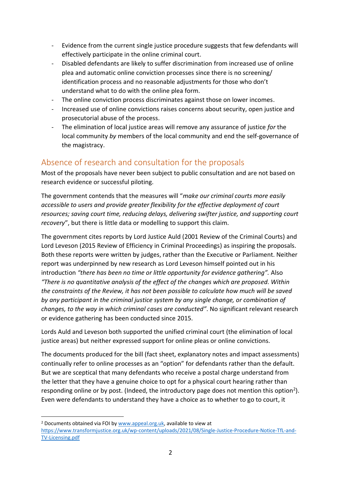- Evidence from the current single justice procedure suggests that few defendants will effectively participate in the online criminal court.
- Disabled defendants are likely to suffer discrimination from increased use of online plea and automatic online conviction processes since there is no screening/ identification process and no reasonable adjustments for those who don't understand what to do with the online plea form.
- The online conviction process discriminates against those on lower incomes.
- Increased use of online convictions raises concerns about security, open justice and prosecutorial abuse of the process.
- The elimination of local justice areas will remove any assurance of justice *for* the local community *by* members of the local community and end the self-governance of the magistracy.

# Absence of research and consultation for the proposals

Most of the proposals have never been subject to public consultation and are not based on research evidence or successful piloting.

The government contends that the measures will "*make our criminal courts more easily accessible to users and provide greater flexibility for the effective deployment of court resources; saving court time, reducing delays, delivering swifter justice, and supporting court recovery*", but there is little data or modelling to support this claim.

The government cites reports by Lord Justice Auld (2001 Review of the Criminal Courts) and Lord Leveson (2015 Review of Efficiency in Criminal Proceedings) as inspiring the proposals. Both these reports were written by judges, rather than the Executive or Parliament. Neither report was underpinned by new research as Lord Leveson himself pointed out in his introduction *"there has been no time or little opportunity for evidence gathering".* Also *"There is no quantitative analysis of the effect of the changes which are proposed. Within the constraints of the Review, it has not been possible to calculate how much will be saved by any participant in the criminal justice system by any single change, or combination of changes, to the way in which criminal cases are conducted"*. No significant relevant research or evidence gathering has been conducted since 2015.

Lords Auld and Leveson both supported the unified criminal court (the elimination of local justice areas) but neither expressed support for online pleas or online convictions.

The documents produced for the bill (fact sheet, explanatory notes and impact assessments) continually refer to online processes as an "option" for defendants rather than the default. But we are sceptical that many defendants who receive a postal charge understand from the letter that they have a genuine choice to opt for a physical court hearing rather than responding online or by post. (Indeed, the introductory page does not mention this option<sup>2</sup>). Even were defendants to understand they have a choice as to whether to go to court, it

<sup>2</sup> Documents obtained via FOI by [www.appeal.org.uk,](http://www.appeal.org.uk/) available to view at [https://www.transformjustice.org.uk/wp-content/uploads/2021/08/Single-Justice-Procedure-Notice-TfL-and-](https://www.transformjustice.org.uk/wp-content/uploads/2021/08/Single-Justice-Procedure-Notice-TfL-and-TV-Licensing.pdf)[TV-Licensing.pdf](https://www.transformjustice.org.uk/wp-content/uploads/2021/08/Single-Justice-Procedure-Notice-TfL-and-TV-Licensing.pdf)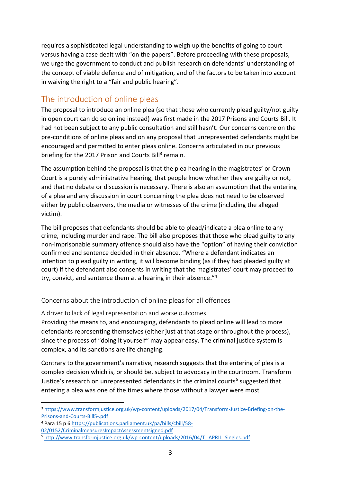requires a sophisticated legal understanding to weigh up the benefits of going to court versus having a case dealt with "on the papers". Before proceeding with these proposals, we urge the government to conduct and publish research on defendants' understanding of the concept of viable defence and of mitigation, and of the factors to be taken into account in waiving the right to a "fair and public hearing".

# The introduction of online pleas

The proposal to introduce an online plea (so that those who currently plead guilty/not guilty in open court can do so online instead) was first made in the 2017 Prisons and Courts Bill. It had not been subject to any public consultation and still hasn't. Our concerns centre on the pre-conditions of online pleas and on any proposal that unrepresented defendants might be encouraged and permitted to enter pleas online. Concerns articulated in our previous briefing for the 2017 Prison and Courts Bill<sup>3</sup> remain.

The assumption behind the proposal is that the plea hearing in the magistrates' or Crown Court is a purely administrative hearing, that people know whether they are guilty or not, and that no debate or discussion is necessary. There is also an assumption that the entering of a plea and any discussion in court concerning the plea does not need to be observed either by public observers, the media or witnesses of the crime (including the alleged victim).

The bill proposes that defendants should be able to plead/indicate a plea online to any crime, including murder and rape. The bill also proposes that those who plead guilty to any non-imprisonable summary offence should also have the "option" of having their conviction confirmed and sentence decided in their absence. "Where a defendant indicates an intention to plead guilty in writing, it will become binding (as if they had pleaded guilty at court) if the defendant also consents in writing that the magistrates' court may proceed to try, convict, and sentence them at a hearing in their absence." 4

Concerns about the introduction of online pleas for all offences

A driver to lack of legal representation and worse outcomes

Providing the means to, and encouraging, defendants to plead online will lead to more defendants representing themselves (either just at that stage or throughout the process), since the process of "doing it yourself" may appear easy. The criminal justice system is complex, and its sanctions are life changing.

Contrary to the government's narrative, research suggests that the entering of plea is a complex decision which is, or should be, subject to advocacy in the courtroom. Transform Justice's research on unrepresented defendants in the criminal courts<sup>5</sup> suggested that entering a plea was one of the times where those without a lawyer were most

<sup>3</sup> [https://www.transformjustice.org.uk/wp-content/uploads/2017/04/Transform-Justice-Briefing-on-the-](https://www.transformjustice.org.uk/wp-content/uploads/2017/04/Transform-Justice-Briefing-on-the-Prisons-and-Courts-Bill5-.pdf)[Prisons-and-Courts-Bill5-.pdf](https://www.transformjustice.org.uk/wp-content/uploads/2017/04/Transform-Justice-Briefing-on-the-Prisons-and-Courts-Bill5-.pdf)

<sup>4</sup> Para 15 p 6 [https://publications.parliament.uk/pa/bills/cbill/58-](https://publications.parliament.uk/pa/bills/cbill/58-02/0152/CriminalmeasuresImpactAssessmentsigned.pdf)

[<sup>02/0152/</sup>CriminalmeasuresImpactAssessmentsigned.pdf](https://publications.parliament.uk/pa/bills/cbill/58-02/0152/CriminalmeasuresImpactAssessmentsigned.pdf)

<sup>5</sup> [http://www.transformjustice.org.uk/wp-content/uploads/2016/04/TJ-APRIL\\_Singles.pdf](http://www.transformjustice.org.uk/wp-content/uploads/2016/04/TJ-APRIL_Singles.pdf)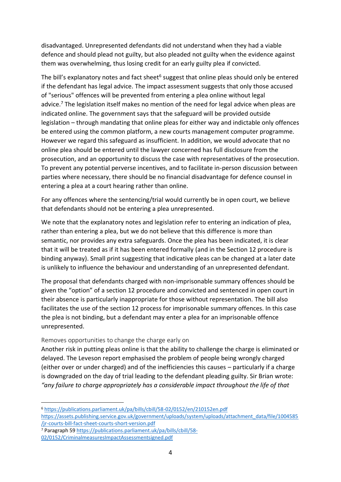disadvantaged. Unrepresented defendants did not understand when they had a viable defence and should plead not guilty, but also pleaded not guilty when the evidence against them was overwhelming, thus losing credit for an early guilty plea if convicted.

The bill's explanatory notes and fact sheet<sup>6</sup> suggest that online pleas should only be entered if the defendant has legal advice. The impact assessment suggests that only those accused of "serious" offences will be prevented from entering a plea online without legal advice.<sup>7</sup> The legislation itself makes no mention of the need for legal advice when pleas are indicated online. The government says that the safeguard will be provided outside legislation – through mandating that online pleas for either way and indictable only offences be entered using the common platform, a new courts management computer programme. However we regard this safeguard as insufficient. In addition, we would advocate that no online plea should be entered until the lawyer concerned has full disclosure from the prosecution, and an opportunity to discuss the case with representatives of the prosecution. To prevent any potential perverse incentives, and to facilitate in-person discussion between parties where necessary, there should be no financial disadvantage for defence counsel in entering a plea at a court hearing rather than online.

For any offences where the sentencing/trial would currently be in open court, we believe that defendants should not be entering a plea unrepresented.

We note that the explanatory notes and legislation refer to entering an indication of plea, rather than entering a plea, but we do not believe that this difference is more than semantic, nor provides any extra safeguards. Once the plea has been indicated, it is clear that it will be treated as if it has been entered formally (and in the Section 12 procedure is binding anyway). Small print suggesting that indicative pleas can be changed at a later date is unlikely to influence the behaviour and understanding of an unrepresented defendant.

The proposal that defendants charged with non-imprisonable summary offences should be given the "option" of a section 12 procedure and convicted and sentenced in open court in their absence is particularly inappropriate for those without representation. The bill also facilitates the use of the section 12 process for imprisonable summary offences. In this case the plea is not binding, but a defendant may enter a plea for an imprisonable offence unrepresented.

#### Removes opportunities to change the charge early on

Another risk in putting pleas online is that the ability to challenge the charge is eliminated or delayed. The Leveson report emphasised the problem of people being wrongly charged (either over or under charged) and of the inefficiencies this causes – particularly if a charge is downgraded on the day of trial leading to the defendant pleading guilty. Sir Brian wrote: *"any failure to charge appropriately has a considerable impact throughout the life of that* 

[https://assets.publishing.service.gov.uk/government/uploads/system/uploads/attachment\\_data/file/1004585](https://assets.publishing.service.gov.uk/government/uploads/system/uploads/attachment_data/file/1004585/jr-courts-bill-fact-sheet-courts-short-version.pdf) [/jr-courts-bill-fact-sheet-courts-short-version.pdf](https://assets.publishing.service.gov.uk/government/uploads/system/uploads/attachment_data/file/1004585/jr-courts-bill-fact-sheet-courts-short-version.pdf)

<sup>7</sup> Paragraph 59 [https://publications.parliament.uk/pa/bills/cbill/58-](https://publications.parliament.uk/pa/bills/cbill/58-02/0152/CriminalmeasuresImpactAssessmentsigned.pdf)

<sup>6</sup> <https://publications.parliament.uk/pa/bills/cbill/58-02/0152/en/210152en.pdf>

[<sup>02/0152/</sup>CriminalmeasuresImpactAssessmentsigned.pdf](https://publications.parliament.uk/pa/bills/cbill/58-02/0152/CriminalmeasuresImpactAssessmentsigned.pdf)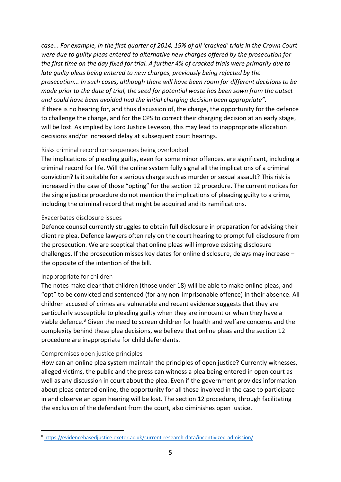*case... For example, in the first quarter of 2014, 15% of all 'cracked' trials in the Crown Court were due to guilty pleas entered to alternative new charges offered by the prosecution for the first time on the day fixed for trial. A further 4% of cracked trials were primarily due to late guilty pleas being entered to new charges, previously being rejected by the prosecution... In such cases, although there will have been room for different decisions to be made prior to the date of trial, the seed for potential waste has been sown from the outset and could have been avoided had the initial charging decision been appropriate".*  If there is no hearing for, and thus discussion of, the charge, the opportunity for the defence to challenge the charge, and for the CPS to correct their charging decision at an early stage, will be lost. As implied by Lord Justice Leveson, this may lead to inappropriate allocation decisions and/or increased delay at subsequent court hearings.

#### Risks criminal record consequences being overlooked

The implications of pleading guilty, even for some minor offences, are significant, including a criminal record for life. Will the online system fully signal all the implications of a criminal conviction? Is it suitable for a serious charge such as murder or sexual assault? This risk is increased in the case of those "opting" for the section 12 procedure. The current notices for the single justice procedure do not mention the implications of pleading guilty to a crime, including the criminal record that might be acquired and its ramifications.

#### Exacerbates disclosure issues

Defence counsel currently struggles to obtain full disclosure in preparation for advising their client re plea. Defence lawyers often rely on the court hearing to prompt full disclosure from the prosecution. We are sceptical that online pleas will improve existing disclosure challenges. If the prosecution misses key dates for online disclosure, delays may increase – the opposite of the intention of the bill.

#### Inappropriate for children

The notes make clear that children (those under 18) will be able to make online pleas, and "opt" to be convicted and sentenced (for any non-imprisonable offence) in their absence. All children accused of crimes are vulnerable and recent evidence suggests that they are particularly susceptible to pleading guilty when they are innocent or when they have a viable defence. <sup>8</sup> Given the need to screen children for health and welfare concerns and the complexity behind these plea decisions, we believe that online pleas and the section 12 procedure are inappropriate for child defendants.

#### Compromises open justice principles

How can an online plea system maintain the principles of open justice? Currently witnesses, alleged victims, the public and the press can witness a plea being entered in open court as well as any discussion in court about the plea. Even if the government provides information about pleas entered online, the opportunity for all those involved in the case to participate in and observe an open hearing will be lost. The section 12 procedure, through facilitating the exclusion of the defendant from the court, also diminishes open justice.

<sup>8</sup> <https://evidencebasedjustice.exeter.ac.uk/current-research-data/incentivized-admission/>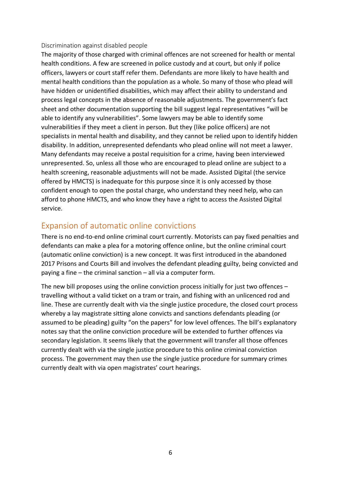#### Discrimination against disabled people

The majority of those charged with criminal offences are not screened for health or mental health conditions. A few are screened in police custody and at court, but only if police officers, lawyers or court staff refer them. Defendants are more likely to have health and mental health conditions than the population as a whole. So many of those who plead will have hidden or unidentified disabilities, which may affect their ability to understand and process legal concepts in the absence of reasonable adjustments. The government's fact sheet and other documentation supporting the bill suggest legal representatives "will be able to identify any vulnerabilities". Some lawyers may be able to identify some vulnerabilities if they meet a client in person. But they (like police officers) are not specialists in mental health and disability, and they cannot be relied upon to identify hidden disability. In addition, unrepresented defendants who plead online will not meet a lawyer. Many defendants may receive a postal requisition for a crime, having been interviewed unrepresented. So, unless all those who are encouraged to plead online are subject to a health screening, reasonable adjustments will not be made. Assisted Digital (the service offered by HMCTS) is inadequate for this purpose since it is only accessed by those confident enough to open the postal charge, who understand they need help, who can afford to phone HMCTS, and who know they have a right to access the Assisted Digital service.

# Expansion of automatic online convictions

There is no end-to-end online criminal court currently. Motorists can pay fixed penalties and defendants can make a plea for a motoring offence online, but the online criminal court (automatic online conviction) is a new concept. It was first introduced in the abandoned 2017 Prisons and Courts Bill and involves the defendant pleading guilty, being convicted and paying a fine – the criminal sanction – all via a computer form.

The new bill proposes using the online conviction process initially for just two offences travelling without a valid ticket on a tram or train, and fishing with an unlicenced rod and line. These are currently dealt with via the single justice procedure, the closed court process whereby a lay magistrate sitting alone convicts and sanctions defendants pleading (or assumed to be pleading) guilty "on the papers" for low level offences. The bill's explanatory notes say that the online conviction procedure will be extended to further offences via secondary legislation. It seems likely that the government will transfer all those offences currently dealt with via the single justice procedure to this online criminal conviction process. The government may then use the single justice procedure for summary crimes currently dealt with via open magistrates' court hearings.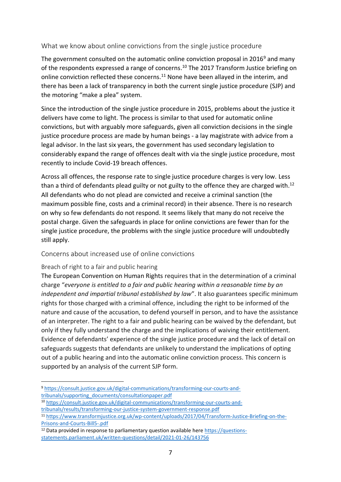#### What we know about online convictions from the single justice procedure

The government consulted on the automatic online conviction proposal in  $2016<sup>9</sup>$  and many of the respondents expressed a range of concerns.<sup>10</sup> The 2017 Transform Justice briefing on online conviction reflected these concerns.<sup>11</sup> None have been allayed in the interim, and there has been a lack of transparency in both the current single justice procedure (SJP) and the motoring "make a plea" system.

Since the introduction of the single justice procedure in 2015, problems about the justice it delivers have come to light. The process is similar to that used for automatic online convictions, but with arguably more safeguards, given all conviction decisions in the single justice procedure process are made by human beings - a lay magistrate with advice from a legal advisor. In the last six years, the government has used secondary legislation to considerably expand the range of offences dealt with via the single justice procedure, most recently to include Covid-19 breach offences.

Across all offences, the response rate to single justice procedure charges is very low. Less than a third of defendants plead guilty or not guilty to the offence they are charged with.<sup>12</sup> All defendants who do not plead are convicted and receive a criminal sanction (the maximum possible fine, costs and a criminal record) in their absence. There is no research on why so few defendants do not respond. It seems likely that many do not receive the postal charge. Given the safeguards in place for online convictions are fewer than for the single justice procedure, the problems with the single justice procedure will undoubtedly still apply.

#### Concerns about increased use of online convictions

#### Breach of right to a fair and public hearing

The European Convention on Human Rights requires that in the determination of a criminal charge "*everyone is entitled to a fair and public hearing within a reasonable time by an independent and impartial tribunal established by law*". It also guarantees specific minimum rights for those charged with a criminal offence, including the right to be informed of the nature and cause of the accusation, to defend yourself in person, and to have the assistance of an interpreter. The right to a fair and public hearing can be waived by the defendant, but only if they fully understand the charge and the implications of waiving their entitlement. Evidence of defendants' experience of the single justice procedure and the lack of detail on safeguards suggests that defendants are unlikely to understand the implications of opting out of a public hearing and into the automatic online conviction process. This concern is supported by an analysis of the current SJP form.

<sup>9</sup> [https://consult.justice.gov.uk/digital-communications/transforming-our-courts-and](https://consult.justice.gov.uk/digital-communications/transforming-our-courts-and-tribunals/supporting_documents/consultationpaper.pdf)[tribunals/supporting\\_documents/consultationpaper.pdf](https://consult.justice.gov.uk/digital-communications/transforming-our-courts-and-tribunals/supporting_documents/consultationpaper.pdf)

<sup>10</sup> [https://consult.justice.gov.uk/digital-communications/transforming-our-courts-and](https://consult.justice.gov.uk/digital-communications/transforming-our-courts-and-tribunals/results/transforming-our-justice-system-government-response.pdf)[tribunals/results/transforming-our-justice-system-government-response.pdf](https://consult.justice.gov.uk/digital-communications/transforming-our-courts-and-tribunals/results/transforming-our-justice-system-government-response.pdf)

<sup>11</sup> [https://www.transformjustice.org.uk/wp-content/uploads/2017/04/Transform-Justice-Briefing-on-the-](https://www.transformjustice.org.uk/wp-content/uploads/2017/04/Transform-Justice-Briefing-on-the-Prisons-and-Courts-Bill5-.pdf)[Prisons-and-Courts-Bill5-.pdf](https://www.transformjustice.org.uk/wp-content/uploads/2017/04/Transform-Justice-Briefing-on-the-Prisons-and-Courts-Bill5-.pdf)

<sup>12</sup> Data provided in response to parliamentary question available here [https://questions](https://questions-statements.parliament.uk/written-questions/detail/2021-01-26/143756)[statements.parliament.uk/written-questions/detail/2021-01-26/143756](https://questions-statements.parliament.uk/written-questions/detail/2021-01-26/143756)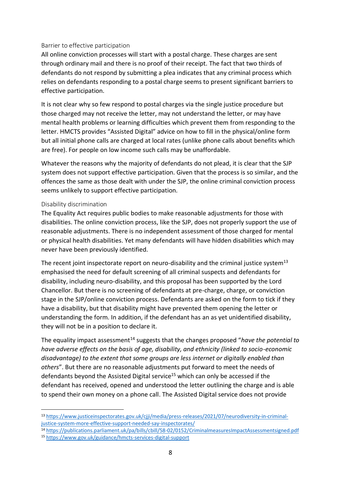#### Barrier to effective participation

All online conviction processes will start with a postal charge. These charges are sent through ordinary mail and there is no proof of their receipt. The fact that two thirds of defendants do not respond by submitting a plea indicates that any criminal process which relies on defendants responding to a postal charge seems to present significant barriers to effective participation.

It is not clear why so few respond to postal charges via the single justice procedure but those charged may not receive the letter, may not understand the letter, or may have mental health problems or learning difficulties which prevent them from responding to the letter. HMCTS provides "Assisted Digital" advice on how to fill in the physical/online form but all initial phone calls are charged at local rates (unlike phone calls about benefits which are free). For people on low income such calls may be unaffordable.

Whatever the reasons why the majority of defendants do not plead, it is clear that the SJP system does not support effective participation. Given that the process is so similar, and the offences the same as those dealt with under the SJP, the online criminal conviction process seems unlikely to support effective participation.

#### Disability discrimination

The Equality Act requires public bodies to make reasonable adjustments for those with disabilities. The online conviction process, like the SJP, does not properly support the use of reasonable adjustments. There is no independent assessment of those charged for mental or physical health disabilities. Yet many defendants will have hidden disabilities which may never have been previously identified.

The recent joint inspectorate report on neuro-disability and the criminal justice system<sup>13</sup> emphasised the need for default screening of all criminal suspects and defendants for disability, including neuro-disability, and this proposal has been supported by the Lord Chancellor. But there is no screening of defendants at pre-charge, charge, or conviction stage in the SJP/online conviction process. Defendants are asked on the form to tick if they have a disability, but that disability might have prevented them opening the letter or understanding the form. In addition, if the defendant has an as yet unidentified disability, they will not be in a position to declare it.

The equality impact assessment<sup>14</sup> suggests that the changes proposed "*have the potential to have adverse effects on the basis of age, disability, and ethnicity (linked to socio-economic disadvantage) to the extent that some groups are less internet or digitally enabled than others*". But there are no reasonable adjustments put forward to meet the needs of defendants beyond the Assisted Digital service<sup>15</sup> which can only be accessed if the defendant has received, opened and understood the letter outlining the charge and is able to spend their own money on a phone call. The Assisted Digital service does not provide

<sup>14</sup> <https://publications.parliament.uk/pa/bills/cbill/58-02/0152/CriminalmeasuresImpactAssessmentsigned.pdf>

<sup>13</sup> [https://www.justiceinspectorates.gov.uk/cjji/media/press-releases/2021/07/neurodiversity-in-criminal](https://www.justiceinspectorates.gov.uk/cjji/media/press-releases/2021/07/neurodiversity-in-criminal-justice-system-more-effective-support-needed-say-inspectorates/)[justice-system-more-effective-support-needed-say-inspectorates/](https://www.justiceinspectorates.gov.uk/cjji/media/press-releases/2021/07/neurodiversity-in-criminal-justice-system-more-effective-support-needed-say-inspectorates/)

<sup>15</sup> <https://www.gov.uk/guidance/hmcts-services-digital-support>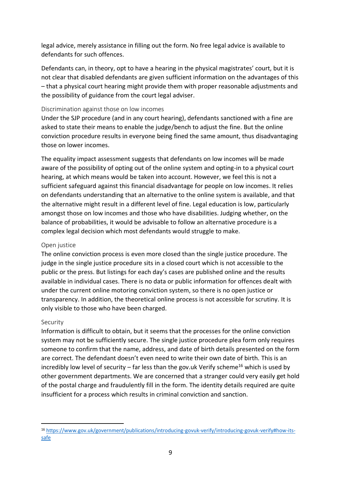legal advice, merely assistance in filling out the form. No free legal advice is available to defendants for such offences.

Defendants can, in theory, opt to have a hearing in the physical magistrates' court, but it is not clear that disabled defendants are given sufficient information on the advantages of this – that a physical court hearing might provide them with proper reasonable adjustments and the possibility of guidance from the court legal adviser.

#### Discrimination against those on low incomes

Under the SJP procedure (and in any court hearing), defendants sanctioned with a fine are asked to state their means to enable the judge/bench to adjust the fine. But the online conviction procedure results in everyone being fined the same amount, thus disadvantaging those on lower incomes.

The equality impact assessment suggests that defendants on low incomes will be made aware of the possibility of opting out of the online system and opting-in to a physical court hearing, at which means would be taken into account. However, we feel this is not a sufficient safeguard against this financial disadvantage for people on low incomes. It relies on defendants understanding that an alternative to the online system is available, and that the alternative might result in a different level of fine. Legal education is low, particularly amongst those on low incomes and those who have disabilities. Judging whether, on the balance of probabilities, it would be advisable to follow an alternative procedure is a complex legal decision which most defendants would struggle to make.

#### Open justice

The online conviction process is even more closed than the single justice procedure. The judge in the single justice procedure sits in a closed court which is not accessible to the public or the press. But listings for each day's cases are published online and the results available in individual cases. There is no data or public information for offences dealt with under the current online motoring conviction system, so there is no open justice or transparency. In addition, the theoretical online process is not accessible for scrutiny. It is only visible to those who have been charged.

#### Security

Information is difficult to obtain, but it seems that the processes for the online conviction system may not be sufficiently secure. The single justice procedure plea form only requires someone to confirm that the name, address, and date of birth details presented on the form are correct. The defendant doesn't even need to write their own date of birth. This is an incredibly low level of security – far less than the gov.uk Verify scheme<sup>16</sup> which is used by other government departments. We are concerned that a stranger could very easily get hold of the postal charge and fraudulently fill in the form. The identity details required are quite insufficient for a process which results in criminal conviction and sanction.

<sup>16</sup> [https://www.gov.uk/government/publications/introducing-govuk-verify/introducing-govuk-verify#how-its](https://www.gov.uk/government/publications/introducing-govuk-verify/introducing-govuk-verify#how-its-safe)[safe](https://www.gov.uk/government/publications/introducing-govuk-verify/introducing-govuk-verify#how-its-safe)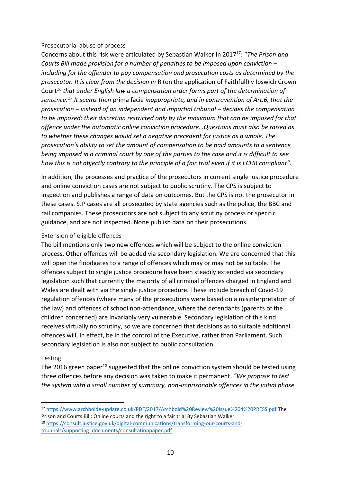#### Prosecutorial abuse of process

Concerns about this risk were articulated by Sebastian Walker in 2017<sup>17</sup>: "*The Prison and Courts Bill made provision for a number of penalties to be imposed upon conviction – including for the offender to pay compensation and prosecution costs as determined by the prosecutor. It is clear from the decision in* R (on the application of Faithfull) v Ipswich Crown Court*<sup>16</sup> that under English law a compensation order forms part of the determination of sentence.<sup>17</sup> It seems then* prima facie *inappropriate, and in contravention of Art.6, that the prosecution – instead of an independent and impartial tribunal – decides the compensation to be imposed: their discretion restricted only by the maximum that can be imposed for that offence under the automatic online conviction procedure…Questions must also be raised as to whether these changes would set a negative precedent for justice as a whole. The prosecution's ability to set the amount of compensation to be paid amounts to a sentence being imposed in a criminal court by one of the parties to the case and it is difficult to see how this is not abjectly contrary to the principle of a fair trial even if it is ECHR compliant".*

In addition, the processes and practice of the prosecutors in current single justice procedure and online conviction cases are not subject to public scrutiny. The CPS is subject to inspection and publishes a range of data on outcomes. But the CPS is not the prosecutor in these cases. SJP cases are all prosecuted by state agencies such as the police, the BBC and rail companies. These prosecutors are not subject to any scrutiny process or specific guidance, and are not inspected. None publish data on their prosecutions.

#### Extension of eligible offences

The bill mentions only two new offences which will be subject to the online conviction process. Other offences will be added via secondary legislation. We are concerned that this will open the floodgates to a range of offences which may or may not be suitable. The offences subject to single justice procedure have been steadily extended via secondary legislation such that currently the majority of all criminal offences charged in England and Wales are dealt with via the single justice procedure. These include breach of Covid-19 regulation offences (where many of the prosecutions were based on a misinterpretation of the law) and offences of school non-attendance, where the defendants (parents of the children concerned) are invariably very vulnerable. Secondary legislation of this kind receives virtually no scrutiny, so we are concerned that decisions as to suitable additional offences will, in effect, be in the control of the Executive, rather than Parliament. Such secondary legislation is also not subject to public consultation.

#### Testing

The 2016 green paper<sup>18</sup> suggested that the online conviction system should be tested using three offences before any decision was taken to make it permanent. *"We propose to test the system with a small number of summary, non-imprisonable offences in the initial phase* 

<sup>17</sup> <https://www.archbolde-update.co.uk/PDF/2017/Archbold%20Review%20Issue%204%20PRESS.pdf> The Prison and Courts Bill: Online courts and the right to a fair trial By Sebastian Walker

<sup>18</sup> [https://consult.justice.gov.uk/digital-communications/transforming-our-courts-and](https://consult.justice.gov.uk/digital-communications/transforming-our-courts-and-tribunals/supporting_documents/consultationpaper.pdf)[tribunals/supporting\\_documents/consultationpaper.pdf](https://consult.justice.gov.uk/digital-communications/transforming-our-courts-and-tribunals/supporting_documents/consultationpaper.pdf)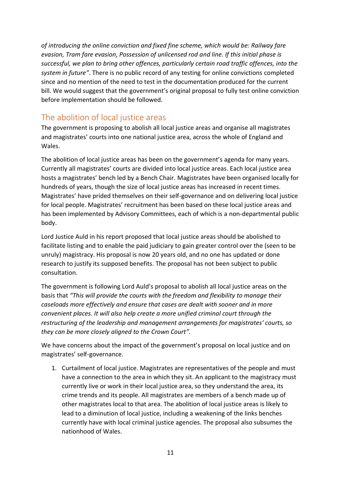*of introducing the online conviction and fixed fine scheme, which would be: Railway fare evasion, Tram fare evasion, Possession of unlicensed rod and line. If this initial phase is successful, we plan to bring other offences, particularly certain road traffic offences, into the system in future"*. There is no public record of any testing for online convictions completed since and no mention of the need to test in the documentation produced for the current bill. We would suggest that the government's original proposal to fully test online conviction before implementation should be followed.

# The abolition of local justice areas

The government is proposing to abolish all local justice areas and organise all magistrates and magistrates' courts into one national justice area, across the whole of England and Wales.

The abolition of local justice areas has been on the government's agenda for many years. Currently all magistrates' courts are divided into local justice areas. Each local justice area hosts a magistrates' bench led by a Bench Chair. Magistrates have been organised locally for hundreds of years, though the size of local justice areas has increased in recent times. Magistrates' have prided themselves on their self-governance and on delivering local justice for local people. Magistrates' recruitment has been based on these local justice areas and has been implemented by Advisory Committees, each of which is a non-departmental public body.

Lord Justice Auld in his report proposed that local justice areas should be abolished to facilitate listing and to enable the paid judiciary to gain greater control over the (seen to be unruly) magistracy. His proposal is now 20 years old, and no one has updated or done research to justify its supposed benefits. The proposal has not been subject to public consultation.

The government is following Lord Auld's proposal to abolish all local justice areas on the basis that *"This will provide the courts with the freedom and flexibility to manage their caseloads more effectively and ensure that cases are dealt with sooner and in more convenient places. It will also help create a more unified criminal court through the restructuring of the leadership and management arrangements for magistrates' courts, so they can be more closely aligned to the Crown Court".*

We have concerns about the impact of the government's proposal on local justice and on magistrates' self-governance.

1. Curtailment of local justice. Magistrates are representatives of the people and must have a connection to the area in which they sit. An applicant to the magistracy must currently live or work in their local justice area, so they understand the area, its crime trends and its people. All magistrates are members of a bench made up of other magistrates local to that area. The abolition of local justice areas is likely to lead to a diminution of local justice, including a weakening of the links benches currently have with local criminal justice agencies. The proposal also subsumes the nationhood of Wales.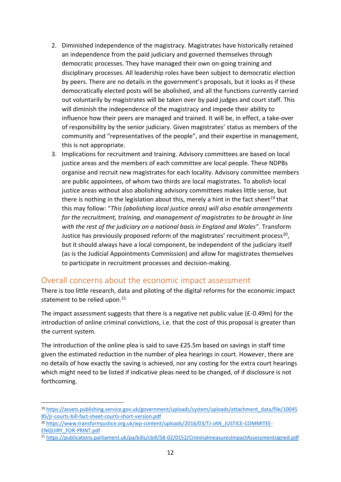- 2. Diminished independence of the magistracy. Magistrates have historically retained an independence from the paid judiciary and governed themselves through democratic processes. They have managed their own on-going training and disciplinary processes. All leadership roles have been subject to democratic election by peers. There are no details in the government's proposals, but it looks as if these democratically elected posts will be abolished, and all the functions currently carried out voluntarily by magistrates will be taken over by paid judges and court staff. This will diminish the independence of the magistracy and impede their ability to influence how their peers are managed and trained. It will be, in effect, a take-over of responsibility by the senior judiciary. Given magistrates' status as members of the community and "representatives of the people", and their expertise in management, this is not appropriate.
- 3. Implications for recruitment and training. Advisory committees are based on local justice areas and the members of each committee are local people. These NDPBs organise and recruit new magistrates for each locality. Advisory committee members are public appointees, of whom two thirds are local magistrates. To abolish local justice areas without also abolishing advisory committees makes little sense, but there is nothing in the legislation about this, merely a hint in the fact sheet<sup>19</sup> that this may follow: "*This (abolishing local justice areas) will also enable arrangements for the recruitment, training, and management of magistrates to be brought in line with the rest of the judiciary on a national basis in England and Wales"*. Transform Justice has previously proposed reform of the magistrates' recruitment process<sup>20</sup>, but it should always have a local component, be independent of the judiciary itself (as is the Judicial Appointments Commission) and allow for magistrates themselves to participate in recruitment processes and decision-making.

### Overall concerns about the economic impact assessment

There is too little research, data and piloting of the digital reforms for the economic impact statement to be relied upon.<sup>21</sup>

The impact assessment suggests that there is a negative net public value (£-0.49m) for the introduction of online criminal convictions, i.e. that the cost of this proposal is greater than the current system.

The introduction of the online plea is said to save £25.5m based on savings in staff time given the estimated reduction in the number of plea hearings in court. However, there are no details of how exactly the saving is achieved, nor any costing for the extra court hearings which might need to be listed if indicative pleas need to be changed, of if disclosure is not forthcoming.

<sup>21</sup> <https://publications.parliament.uk/pa/bills/cbill/58-02/0152/CriminalmeasuresImpactAssessmentsigned.pdf>

<sup>19</sup> [https://assets.publishing.service.gov.uk/government/uploads/system/uploads/attachment\\_data/file/10045](https://assets.publishing.service.gov.uk/government/uploads/system/uploads/attachment_data/file/1004585/jr-courts-bill-fact-sheet-courts-short-version.pdf) [85/jr-courts-bill-fact-sheet-courts-short-version.pdf](https://assets.publishing.service.gov.uk/government/uploads/system/uploads/attachment_data/file/1004585/jr-courts-bill-fact-sheet-courts-short-version.pdf)

<sup>&</sup>lt;sup>20</sup> [https://www.transformjustice.org.uk/wp-content/uploads/2016/03/TJ-JAN\\_JUSTICE-COMMITEE-](https://www.transformjustice.org.uk/wp-content/uploads/2016/03/TJ-JAN_JUSTICE-COMMITEE-ENQUIRY_FOR-PRINT.pdf)[ENQUIRY\\_FOR-PRINT.pdf](https://www.transformjustice.org.uk/wp-content/uploads/2016/03/TJ-JAN_JUSTICE-COMMITEE-ENQUIRY_FOR-PRINT.pdf)